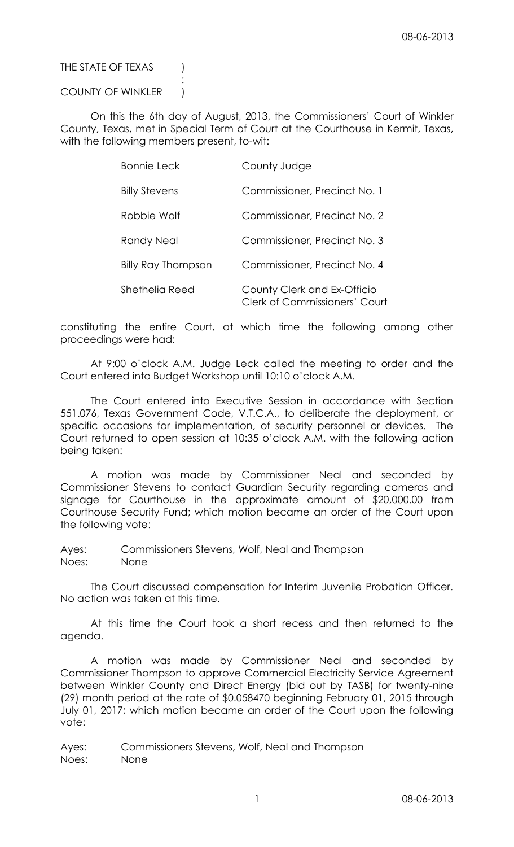# THE STATE OF TEXAS (

## COUNTY OF WINKLER )

:

On this the 6th day of August, 2013, the Commissioners' Court of Winkler County, Texas, met in Special Term of Court at the Courthouse in Kermit, Texas, with the following members present, to-wit:

| <b>Bonnie Leck</b>        | County Judge                                                        |
|---------------------------|---------------------------------------------------------------------|
| <b>Billy Stevens</b>      | Commissioner, Precinct No. 1                                        |
| Robbie Wolf               | Commissioner, Precinct No. 2                                        |
| Randy Neal                | Commissioner, Precinct No. 3                                        |
| <b>Billy Ray Thompson</b> | Commissioner, Precinct No. 4                                        |
| Shethelia Reed            | County Clerk and Ex-Officio<br><b>Clerk of Commissioners' Court</b> |

constituting the entire Court, at which time the following among other proceedings were had:

At 9:00 o'clock A.M. Judge Leck called the meeting to order and the Court entered into Budget Workshop until 10:10 o'clock A.M.

The Court entered into Executive Session in accordance with Section 551.076, Texas Government Code, V.T.C.A., to deliberate the deployment, or specific occasions for implementation, of security personnel or devices. The Court returned to open session at 10:35 o'clock A.M. with the following action being taken:

A motion was made by Commissioner Neal and seconded by Commissioner Stevens to contact Guardian Security regarding cameras and signage for Courthouse in the approximate amount of \$20,000.00 from Courthouse Security Fund; which motion became an order of the Court upon the following vote:

Ayes: Commissioners Stevens, Wolf, Neal and Thompson Noes: None

The Court discussed compensation for Interim Juvenile Probation Officer. No action was taken at this time.

At this time the Court took a short recess and then returned to the agenda.

A motion was made by Commissioner Neal and seconded by Commissioner Thompson to approve Commercial Electricity Service Agreement between Winkler County and Direct Energy (bid out by TASB) for twenty-nine (29) month period at the rate of \$0.058470 beginning February 01, 2015 through July 01, 2017; which motion became an order of the Court upon the following vote:

Ayes: Commissioners Stevens, Wolf, Neal and Thompson Noes: None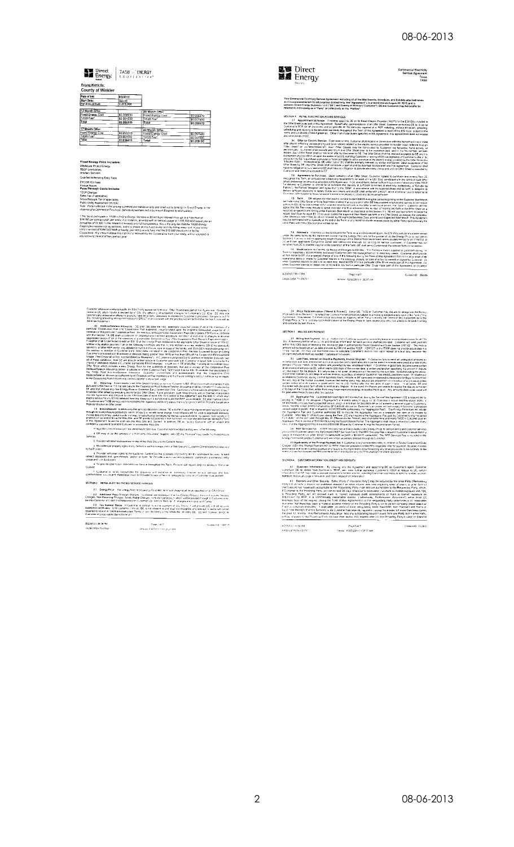

ة 2013 01:30 Puge 2 of 7<br>الجواني: CAZB-OESA-Txichger /<br>CAZB-OESA-Txichger / Cazb-Oesa-> CAZS/2011 / Live 22:4M

<u>.</u>...

Conaction 12013

RÓGNELLA IN FRAME.<br>FASINGE PALEA COOPE

Page 3 of 7<br>Version (01/02/2311 11:28:37 AM)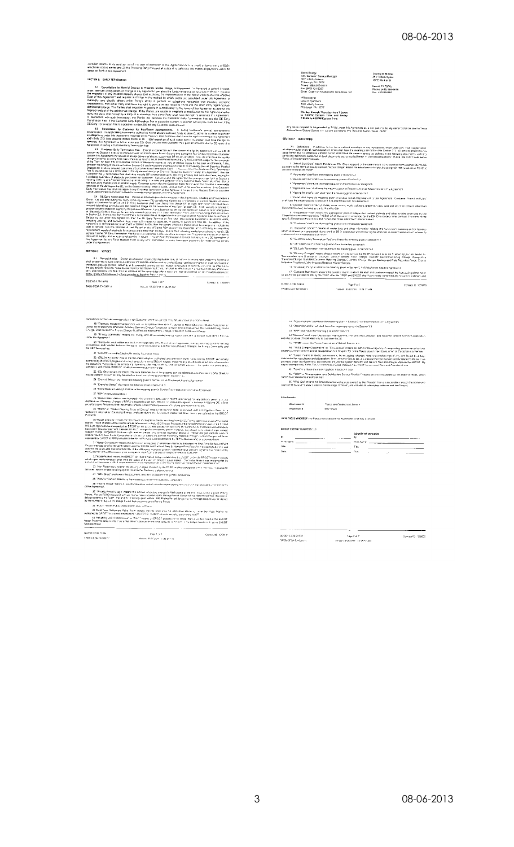ouvolion returns in ris condition as of the date of execution of this Agreement or lulia creat or bona rasing of BaBy<br>whichever coopsily varied and (2) the Providing Party and paid at outstanding belands and moles all paym **SECTION S: EARLY TERMINATION** 

security as EARLY ENERGY Material Reports. Material Responses to the method in the exist a publish three spaces of the space of the space of the space of the space of the space of the space of the space of the space of th

## SECTION B: NOTICES

 $\mathbb{R}^n$  . Connect Retics . Cotto as columns regulard by Alpha also Law, at not in the provided under the Agencie of the Connect Connection of the Connection of the Connection of the Connection of the Connection of the = Pasc < 4.7<br>TASB-CESA TX-3302 (1) = 11.26.37.4M<br>TASB-CESA TX-3302 (1) = 11.26.37.4M Contact District

интенниции с сессона топловите и словать содержение поступников 1831 года Ливного секрета поставление и постоя<br>2016 года в селото на Северо в Северо Северо Социалистически поступников на селото на селото се се селото се<br>2 20 "Emity Private) will be as stated on the applicate D%r Sheat whon Tspphusho, will release the dig RFP in wrong<br>Re Customat, prohibited but is not times to idense avadesade with all Florm out Palated Charges. the Fring

- 
- 
- 
- 
- is Continue, and the first state of the first increase the main first right finded theory. Our time of the first state of the first of the state of the state of the first of the state of the first of the state of the firs
- Saltaneo Miles Mark Detroit was the groundly done to but one in location and at way form an extend in the EOCT<br>Process Weird Certain was the groundly done to but one of the state of the state of the state of the state of
- 
- $\mathcal{L}(1,0,1)$  with launcing in 2001 (implementation) on the Napold Developsing intervals of the Superior Commonwealth 2001 (in the Superior Commonwealth 2001) (in the Superior Commonwealth 2001) (in the Superior Commonwe
- 
- of the Apparent internal and AppCar Wouth or particular<br>control (and a section of the type of the AppCar of the Apple of the Appendix .)<br>Through Renovation and the method of the Control (and also also as the 30 Discussion

8/2011/12 2:39:24 PM<br>TASA KESA-TA-03C211<br>TASA KESA-TA-03C211

Contact ID 12591 P

| <b>Orect Energy</b><br>Alth. Curtomer Service Manager<br>1001 Liberty Avenue<br>P No. 15, PA 15222<br>Phone: (888) 325-9115<br>Fax (866) 421-0257<br>Email: Custon in Relations@g reclenergy.com                | County of Winkles<br>After Vida Synoson<br>100 E Vork er St.<br>Kormit, TX 79745<br>Phone: (432) 556-6658<br>Fax: 43259588855 |
|-----------------------------------------------------------------------------------------------------------------------------------------------------------------------------------------------------------------|-------------------------------------------------------------------------------------------------------------------------------|
| With a copy to<br>Lecu Department<br>1001 Liberty Avenue<br>Pittsburgh MA 15222                                                                                                                                 |                                                                                                                               |
| Monday through Thursday from 7 00AM<br>to 7:00PM Eastern Time and Friday<br>7:00AM to 6:00PM Eastern Trme                                                                                                       |                                                                                                                               |
| Any notice required to be provided to TASB under this Agreement as a non-party to this Agreement shall be sent to Texas<br>Association of School Boards The Clo Jeff Clemmons P.O. Box 430 Austin, Texas, 76767 |                                                                                                                               |
| SECTION 7: DEFINITIONS                                                                                                                                                                                          |                                                                                                                               |
| 7.1 Definitions                                                                                                                                                                                                 | In addition to the learns collined essewhere in this Agricement, when used with moal copitalization                           |

- 
- 
- 
- 
- 
- 
- 
- SCOINT ? BERNINDING .<br>
SCOINT PRIME AND AND SOME DISPOSE ON MATHEMATIC PROPERTY INTO THE APPENDIX AND INTERFERENCE AND THE STATE OF A CONSIDERATION OF THE STATE OF A CONSIDERATION OF THE STATE OF A CONSIDERATION OF THE ST
- 17. Expedied Start Month, means the callendar mark is which the HET and Customer ratiout the flucturaling of the motor is a film of FS of the motor and FS of the motor and FS of the motor and FS of the motor and FS of the Coreact D. 1259030
- 802013 238 20 PM<br>TASE-056A TASS2211 → Nerson (00022011 + 128.57 AM
- 
- 
- 
- 
- 41. "Recording to the theorem, given "Become C.1 of Attentions of A.2 (199)<br>44. "Recording the field half the moment groups in the first detection of a significant state of the first detection of the state of the state of
- 

**Attachments** 

.<br>Terms and Condridos (1.§Arzuly)<br>Offer Sheal Aliachmeni 4<br>Aflachment B

IN WITNESS WHEREOF the Partica have caused this Agreen ent la se dals oxocuted

## ONCCT ENERGY BUSINESS LLC

| By        | $-1$             | $\sim$ 100 $\sigma$ | 84          | COUNTY OF WINKLER |    |       |
|-----------|------------------|---------------------|-------------|-------------------|----|-------|
| Hent Mane | <b>CONTINUES</b> |                     |             | Print Name        |    |       |
| Fide      |                  |                     | Title:<br>٠ |                   |    |       |
| Date.     |                  |                     | Date        |                   | ×. | 11.00 |

Coleau (0.125602)